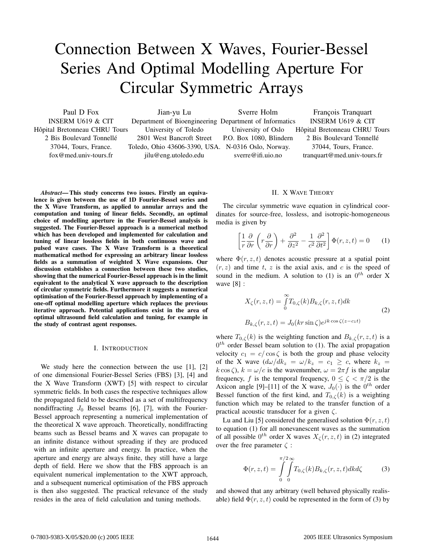# Connection Between X Waves, Fourier-Bessel Series And Optimal Modelling Aperture For Circular Symmetric Arrays

Paul D Fox INSERM U619 & CIT Hôpital Bretonneau CHRU Tours 2 Bis Boulevard Tonnelle´ 37044, Tours, France. fox@med.univ-tours.fr

Jian-yu Lu Department of Bioengineering Department of Informatics University of Toledo 2801 West Bancroft Street Toledo, Ohio 43606-3390, USA. N-0316 Oslo, Norway. jilu@eng.utoledo.edu

University of Oslo P.O. Box 1080, Blindern sverre@ifi.uio.no

Sverre Holm

François Tranquart INSERM U619 & CIT Hôpital Bretonneau CHRU Tours 2 Bis Boulevard Tonnelle´ 37044, Tours, France. tranquart@med.univ-tours.fr

# **lence is given between the use of 1D Fourier-Bessel series and the X Wave Transform, as applied to annular arrays and the computation and tuning of linear fields. Secondly, an optimal choice of modelling aperture in the Fourier-Bessel analysis is suggested. The Fourier-Bessel approach is a numerical method which has been developed and implemented for calculation and tuning of linear lossless fields in both continuous wave and pulsed wave cases. The X Wave Transform is a theoretical mathematical method for expressing an arbitrary linear lossless fields as a summation of weighted X Wave expansions. Our discussion establishes a connection between these two studies, showing that the numerical Fourier-Bessel approach is in the limit equivalent to the analytical X wave approach to the description of circular symmetric fields. Furthermore it suggests a numerical optimisation of the Fourier-Bessel approach by implementing of a one-off optimal modelling aperture which replaces the previous iterative approach. Potential applications exist in the area of optimal ultrasound field calculation and tuning, for example in**

*Abstract***— This study concerns two issues. Firstly an equiva-**

## I. INTRODUCTION

**the study of contrast agent responses.**

We study here the connection between the use [1], [2] of one dimensional Fourier-Bessel Series (FBS) [3], [4] and the X Wave Transform (XWT) [5] with respect to circular symmetric fields. In both cases the respective techniques allow the propagated field to be described as a set of multifrequency nondiffracting  $J_0$  Bessel beams [6], [7], with the Fourier-Bessel approach representing a numerical implementation of the theoretical X wave approach. Theoretically, nondiffracting beams such as Bessel beams and X waves can propagate to an infinite distance without spreading if they are produced with an infinite aperture and energy. In practice, when the aperture and energy are always finite, they still have a large depth of field. Here we show that the FBS approach is an equivalent numerical implementation to the XWT approach, and a subsequent numerical optimisation of the FBS approach is then also suggested. The practical relevance of the study resides in the area of field calculation and tuning methods.

## II. X WAVE THEORY

The circular symmetric wave equation in cylindrical coordinates for source-free, lossless, and isotropic-homogeneous media is given by

$$
\left[\frac{1}{r}\frac{\partial}{\partial r}\left(r\frac{\partial}{\partial r}\right) + \frac{\partial^2}{\partial z^2} - \frac{1}{c^2}\frac{\partial^2}{\partial t^2}\right]\Phi(r, z, t) = 0 \quad (1)
$$

where  $\Phi(r, z, t)$  denotes acoustic pressure at a spatial point  $(r, z)$  and time t, z is the axial axis, and c is the speed of sound in the medium. A solution to (1) is an  $0^{th}$  order X wave [8] :

$$
X_{\zeta}(r, z, t) = \int_{0}^{\infty} T_{0,\zeta}(k) B_{k,\zeta}(r, z, t) dk
$$
  
(2)  

$$
B_{k,\zeta}(r, z, t) = J_0(kr \sin \zeta) e^{jk \cos \zeta(z - c_1 t)}
$$

where  $T_{0,\zeta}(k)$  is the weighting function and  $B_{k,\zeta}(r,z,t)$  is a  $0<sup>th</sup>$  order Bessel beam solution to (1). The axial propagation velocity  $c_1 = c / \cos \zeta$  is both the group and phase velocity of the X wave  $\left(\frac{d\omega}{dk_z} = \frac{\omega}{k_z} = c_1 \geq c$ , where  $k_z =$  $k \cos \zeta$ ,  $k = \omega/c$  is the wavenumber,  $\omega = 2\pi f$  is the angular frequency, f is the temporal frequency,  $0 \le \zeta < \pi/2$  is the Axicon angle [9]–[11] of the X wave,  $J_0(\cdot)$  is the  $0^{th}$  order Bessel function of the first kind, and  $T_{0,\zeta}(k)$  is a weighting function which may be related to the transfer function of a practical acoustic transducer for a given ζ.

Lu and Liu [5] considered the generalised solution  $\Phi(r, z, t)$ to equation (1) for all nonevanescent waves as the summation of all possible  $0^{th}$  order X waves  $X_{\zeta}(r, z, t)$  in (2) integrated over the free parameter  $\zeta$  :

$$
\Phi(r,z,t) = \int_{0}^{\pi/2} \int_{0}^{\infty} T_{0,\zeta}(k) B_{k,\zeta}(r,z,t) dk d\zeta
$$
 (3)

and showed that any arbitrary (well behaved physically realisable) field  $\Phi(r, z, t)$  could be represented in the form of (3) by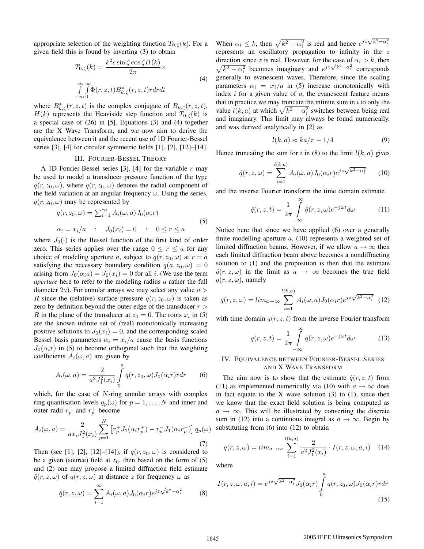appropriate selection of the weighting function  $T_{0,\zeta}(k)$ . For a given field this is found by inverting (3) to obtain

$$
T_{0,\zeta}(k) = \frac{k^2 c \sin \zeta \cos \zeta H(k)}{2\pi} \times
$$
  

$$
\int_{-\infty}^{\infty} \int_{0}^{\infty} \Phi(r, z, t) B_{k,\zeta}^*(r, z, t) r dr dt
$$
 (4)

where  $B_{k,\zeta}^*(r,z,t)$  is the complex conjugate of  $B_{k,\zeta}(r,z,t)$ ,  $H(k)$  represents the Heaviside step function and  $T_{0,\zeta}(k)$  is a special case of (26) in [5]. Equations (3) and (4) together are the X Wave Transform, and we now aim to derive the equivalence between it and the recent use of 1D Fourier-Bessel series [3], [4] for circular symmetric fields [1], [2], [12]–[14].

## III. FOURIER-BESSEL THEORY

A 1D Fourier-Bessel series [3], [4] for the variable  $r$  may be used to model a transducer pressure function of the type  $q(r, z_0, \omega)$ , where  $q(r, z_0, \omega)$  denotes the radial component of the field variation at an angular frequency  $\omega$ . Using the series,  $q(r, z_0, \omega)$  may be represented by

$$
q(r, z_0, \omega) = \sum_{i=1}^{\infty} A_i(\omega, a) J_0(\alpha_i r)
$$
  
\n
$$
\alpha_i = x_i/a \quad : \quad J_0(x_i) = 0 \quad : \quad 0 \le r \le a
$$
\n(5)

where  $J_0(\cdot)$  is the Bessel function of the first kind of order zero. This series applies over the range  $0 \le r \le a$  for any choice of modeling aperture a, subject to  $q(r, z_0, \omega)$  at  $r = a$ satisfying the necessary boundary condition  $q(a, z_0, \omega)=0$ arising from  $J_0(\alpha_i a) = J_0(x_i) = 0$  for all i. (We use the term *aperture* here to refer to the modeling radius a rather the full diameter 2a). For annular arrays we may select any value  $a >$ R since the (relative) surface pressure  $q(r, z_0, \omega)$  is taken as zero by definition beyond the outer edge of the transducer  $r >$ R in the plane of the transducer at  $z_0 = 0$ . The roots  $x_i$  in (5) are the known infinite set of (real) monotonically increasing positive solutions to  $J_0(x_i)=0$ , and the corresponding scaled Bessel basis parameters  $\alpha_i = x_i/a$  cause the basis functions  $J_0(\alpha_i r)$  in (5) to become orthogonal such that the weighting coefficients  $A_i(\omega, a)$  are given by

$$
A_i(\omega, a) = \frac{2}{a^2 J_1^2(x_i)} \int_0^a q(r, z_0, \omega) J_0(\alpha_i r) r dr \qquad (6)
$$

which, for the case of  $N$ -ring annular arrays with complex ring quantisation levels  $q_p(\omega)$  for  $p = 1, \ldots, N$  and inner and outer radii  $r_p^-$  and  $r_p^+$  become

$$
A_i(\omega, a) = \frac{2}{ax_i J_1^2(x_i)} \sum_{p=1}^N \left[ r_p^+ J_1(\alpha_i r_p^+) - r_p^- J_1(\alpha_i r_p^-) \right] q_p(\omega)
$$
\n(7)

Then (see [1], [2], [12]–[14]), if  $q(r, z_0, \omega)$  is considered to be a given (source) field at  $z_0$ , then based on the form of (5) and (2) one may propose a limited diffraction field estimate  $\hat{q}(r, z, \omega)$  of  $q(r, z, \omega)$  at distance z for frequency  $\omega$  as

$$
\hat{q}(r, z, \omega) = \sum_{i=1}^{\infty} A_i(\omega, a) J_0(\alpha_i r) e^{jz \sqrt{k^2 - \alpha_i^2}}
$$
(8)

When  $\alpha_i \leq k$ , then  $\sqrt{k^2 - \alpha_i^2}$  is real and hence  $e^{jz\sqrt{k^2 - \alpha_i^2}}$ represents an oscillatory propagation to infinity in the z direction since z is real. However, for the case of  $\alpha_i > k$ , then  $\sqrt{k^2 - \alpha_i^2}$  becomes imaginary and  $e^{jz\sqrt{k^2 - \alpha_i^2}}$  corresponds generally to evanescent waves. Therefore, since the scaling parameters  $\alpha_i = x_i/a$  in (5) increase monotonically with index  $i$  for a given value of  $a$ , the evanescent feature means that in practice we may truncate the infinite sum in  $i$  to only the value  $l(k, a)$  at which  $\sqrt{k^2 - \alpha_i^2}$  switches between being real and imaginary. This limit may always be found numerically, and was derived analytically in [2] as

$$
l(k, a) \approx ka/\pi + 1/4\tag{9}
$$

Hence truncating the sum for i in (8) to the limit  $l(k, a)$  gives

$$
\hat{q}(r,z,\omega) = \sum_{i=1}^{l(k,a)} A_i(\omega,a) J_0(\alpha_i r) e^{jz \sqrt{k^2 - \alpha_i^2}} \qquad (10)
$$

and the inverse Fourier transform the time domain estimate

$$
\hat{q}(r,z,t) = \frac{1}{2\pi} \int_{-\infty}^{\infty} \hat{q}(r,z,\omega)e^{-j\omega t}d\omega
$$
 (11)

Notice here that since we have applied (6) over a generally finite modelling aperture  $a$ , (10) represents a weighted set of limited diffraction beams. However, if we allow  $a \to \infty$  then each limited diffraction beam above becomes a nondiffracting solution to (1) and the proposition is then that the estimate  $\hat{q}(r, z, \omega)$  in the limit as  $a \to \infty$  becomes the true field  $q(r, z, \omega)$ , namely

$$
q(r, z, \omega) = lim_{a \to \infty} \sum_{i=1}^{l(k,a)} A_i(\omega, a) J_0(\alpha_i r) e^{jz \sqrt{k^2 - \alpha_i^2}}
$$
(12)

with time domain  $q(r, z, t)$  from the inverse Fourier transform

$$
q(r, z, t) = \frac{1}{2\pi} \int_{-\infty}^{\infty} q(r, z, \omega) e^{-j\omega t} d\omega
$$
 (13)

# IV. EQUIVALENCE BETWEEN FOURIER-BESSEL SERIES AND X WAVE TRANSFORM

The aim now is to show that the estimate  $\hat{q}(r, z, t)$  from (11) as implemented numerically via (10) with  $a \rightarrow \infty$  does in fact equate to the X wave solution  $(3)$  to  $(1)$ , since then we know that the exact field solution is being computed as  $a \rightarrow \infty$ . This will be illustrated by converting the discrete sum in (12) into a continuous integral as  $a \rightarrow \infty$ . Begin by substituting from (6) into (12) to obtain

$$
q(r, z, \omega) = lim_{a \to \infty} \sum_{i=1}^{l(k, a)} \frac{2}{a^2 J_1^2(x_i)} \cdot I(r, z, \omega, a, i) \quad (14)
$$

where

$$
I(r, z, \omega, a, i) = e^{jz\sqrt{k^2 - \alpha_i^2}} J_0(\alpha_i r) \int_0^a q(r, z_0, \omega) J_0(\alpha_i r) r dr
$$
\n(15)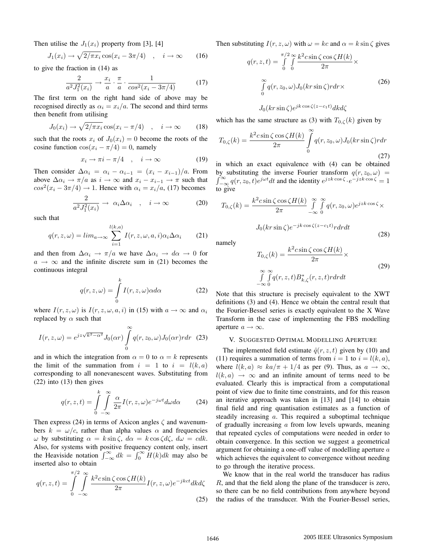Then utilise the  $J_1(x_i)$  property from [3], [4]

$$
J_1(x_i) \to \sqrt{2/\pi x_i} \cos(x_i - 3\pi/4) \quad , \quad i \to \infty \tag{16}
$$

to give the fraction in (14) as

$$
\frac{2}{a^2 J_1^2(x_i)} \to \frac{x_i}{a} \cdot \frac{\pi}{a} \cdot \frac{1}{\cos^2(x_i - 3\pi/4)}
$$
(17)

The first term on the right hand side of above may be recognised directly as  $\alpha_i = x_i/a$ . The second and third terms then benefit from utilising

$$
J_0(x_i) \to \sqrt{2/\pi x_i} \cos(x_i - \pi/4) \quad , \quad i \to \infty \tag{18}
$$

such that the roots  $x_i$  of  $J_0(x_i)=0$  become the roots of the cosine function  $\cos(x_i - \pi/4) = 0$ , namely

$$
x_i \to \pi i - \pi/4 \quad , \quad i \to \infty \tag{19}
$$

Then consider  $\Delta \alpha_i = \alpha_i - \alpha_{i-1} = (x_i - x_{i-1})/a$ . From above  $\Delta \alpha_i \rightarrow \pi/a$  as  $i \rightarrow \infty$  and  $x_i - x_{i-1} \rightarrow \pi$  such that  $\cos^2(x_i - 3\pi/4) \rightarrow 1$ . Hence with  $\alpha_i = x_i/a$ , (17) becomes

$$
\frac{2}{a^2 J_1^2(x_i)} \to \alpha_i \Delta \alpha_i \quad , \quad i \to \infty \tag{20}
$$

such that

$$
q(r, z, \omega) = lim_{a \to \infty} \sum_{i=1}^{l(k, a)} I(r, z, \omega, a, i) \alpha_i \Delta \alpha_i
$$
 (21)

and then from  $\Delta \alpha_i \rightarrow \pi/a$  we have  $\Delta \alpha_i \rightarrow d\alpha \rightarrow 0$  for  $a \rightarrow \infty$  and the infinite discrete sum in (21) becomes the continuous integral

$$
q(r, z, \omega) = \int_{0}^{k} I(r, z, \omega) \alpha d\alpha
$$
 (22)

where  $I(r, z, \omega)$  is  $I(r, z, \omega, a, i)$  in (15) with  $a \to \infty$  and  $\alpha_i$ replaced by  $\alpha$  such that

$$
I(r, z, \omega) = e^{jz\sqrt{k^2 - \alpha^2}} J_0(\alpha r) \int_0^{\infty} q(r, z_0, \omega) J_0(\alpha r) r dr \quad (23)
$$

and in which the integration from  $\alpha = 0$  to  $\alpha = k$  represents the limit of the summation from  $i = 1$  to  $i = l(k, a)$ corresponding to all nonevanescent waves. Substituting from (22) into (13) then gives

$$
q(r,z,t) = \int_{0}^{k} \int_{-\infty}^{\infty} \frac{\alpha}{2\pi} I(r,z,\omega) e^{-j\omega t} d\omega d\alpha
$$
 (24)

Then express (24) in terms of Axicon angles  $\zeta$  and wavenumbers  $k = \omega/c$ , rather than alpha values  $\alpha$  and frequencies ω by substituting  $\alpha = k \sin \zeta$ ,  $d\alpha = k \cos \zeta d\zeta$ ,  $d\omega = cdk$ . Also, for systems with positive frequency content only, insert the Heaviside notation  $\int_{-\infty}^{\infty} dk = \int_{0}^{\infty} H(k)dk$  may also be inserted also to obtain

$$
q(r,z,t) = \int_{0}^{\pi/2} \int_{-\infty}^{\infty} \frac{k^2 c \sin \zeta \cos \zeta H(k)}{2\pi} I(r,z,\omega) e^{-j k c t} dk d\zeta
$$
\n(25)

Then substituting  $I(r, z, \omega)$  with  $\omega = kc$  and  $\alpha = k \sin \zeta$  gives

$$
q(r, z, t) = \int_{0}^{\pi/2} \int_{0}^{\infty} \frac{k^2 c \sin \zeta \cos \zeta H(k)}{2\pi} \times
$$
  

$$
\int_{0}^{\infty} q(r, z_0, \omega) J_0(kr \sin \zeta) r dr \times
$$
  

$$
J_0(kr \sin \zeta) e^{jk \cos \zeta(z - c_1 t)} dk d\zeta
$$
 (26)

which has the same structure as (3) with  $T_{0,\zeta}(k)$  given by

$$
T_{0,\zeta}(k) = \frac{k^2 c \sin \zeta \cos \zeta H(k)}{2\pi} \int_{0}^{\infty} q(r, z_0, \omega) J_0(kr \sin \zeta) r dr \tag{27}
$$

in which an exact equivalence with (4) can be obtained by substituting the inverse Fourier transform  $q(r, z_0, \omega)$  =  $\int_{-\infty}^{\infty} q(r, z_0, t) e^{j\omega t} dt$  and the identity  $e^{jzk \cos \zeta} \cdot e^{-jzk \cos \zeta} = 1$ to give

$$
T_{0,\zeta}(k) = \frac{k^2 c \sin \zeta \cos \zeta H(k)}{2\pi} \int_{-\infty}^{\infty} \int_{0}^{\infty} q(r, z_0, \omega) e^{jzk \cos \zeta} \times J_0(kr \sin \zeta) e^{-jk \cos \zeta (z - c_1 t)} r dr dt
$$
\n(28)

namely

$$
T_{0,\zeta}(k) = \frac{k^2 c \sin \zeta \cos \zeta H(k)}{2\pi} \times
$$
  

$$
\int_{-\infty}^{\infty} \int_{0}^{\infty} q(r, z, t) B_{k,\zeta}^*(r, z, t) r dr dt
$$
 (29)

Note that this structure is precisely equivalent to the XWT definitions (3) and (4). Hence we obtain the central result that the Fourier-Bessel series is exactly equivalent to the X Wave Transform in the case of implementing the FBS modelling aperture  $a \rightarrow \infty$ .

### V. SUGGESTED OPTIMAL MODELLING APERTURE

The implemented field estimate  $\hat{q}(r, z, t)$  given by (10) and (11) requires a summation of terms from  $i = 1$  to  $i = l(k, a)$ , where  $l(k, a) \approx ka/\pi + 1/4$  as per (9). Thus, as  $a \to \infty$ ,  $l(k, a) \rightarrow \infty$  and an infinite amount of terms need to be evaluated. Clearly this is impractical from a computational point of view due to finite time constraints, and for this reason an iterative approach was taken in [13] and [14] to obtain final field and ring quantisation estimates as a function of steadily increasing a. This required a suboptimal technique of gradually increasing a from low levels upwards, meaning that repeated cycles of computations were needed in order to obtain convergence. In this section we suggest a geometrical argument for obtaining a one-off value of modelling aperture  $a$ which achieves the equivalent to convergence without needing to go through the iterative process.

We know that in the real world the transducer has radius R, and that the field along the plane of the transducer is zero, so there can be no field contributions from anywhere beyond the radius of the transducer. With the Fourier-Bessel series,